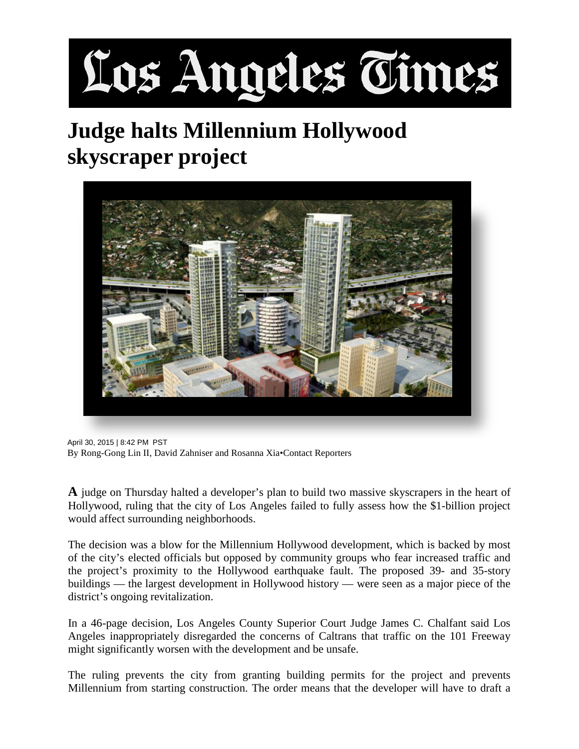## Los Angeles Times

## **Judge halts Millennium Hollywood skyscraper project**



April 30, 2015 | 8:42 PM PST By Rong-Gong Lin II, David Zahniser and Rosanna Xia•Contact Reporters

**A** judge on Thursday halted a developer's plan to build two massive skyscrapers in the heart of Hollywood, ruling that the city of Los Angeles failed to fully assess how the \$1-billion project would affect surrounding neighborhoods.

The decision was a blow for the Millennium Hollywood development, which is backed by most of the city's elected officials but opposed by community groups who fear increased traffic and the project's proximity to the Hollywood earthquake fault. The proposed 39- and 35-story buildings — the largest development in Hollywood history — were seen as a major piece of the district's ongoing revitalization.

In a 46-page decision, Los Angeles County Superior Court Judge James C. Chalfant said Los Angeles inappropriately disregarded the concerns of Caltrans that traffic on the 101 Freeway might significantly worsen with the development and be unsafe.

The ruling prevents the city from granting building permits for the project and prevents Millennium from starting construction. The order means that the developer will have to draft a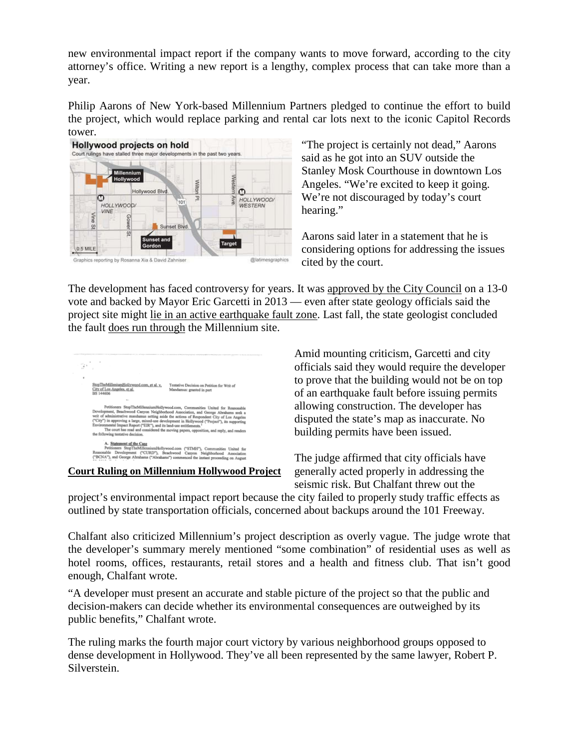new environmental impact report if the company wants to move forward, according to the city attorney's office. Writing a new report is a lengthy, complex process that can take more than a year.

Philip Aarons of New York-based Millennium Partners pledged to continue the effort to build the project, which would replace parking and rental car lots next to the iconic Capitol Records tower.



"The project is certainly not dead," Aarons said as he got into an SUV outside the Stanley Mosk Courthouse in downtown Los Angeles. "We're excited to keep it going. We're not discouraged by today's court hearing."

Aarons said later in a statement that he is considering options for addressing the issues cited by the court.

The development has faced controversy for years. It was [approved by the City Council](http://articles.latimes.com/2013/jul/24/local/la-me-ln-hollywood-millennium-skyscrapers-approved-20130724) on a 13-0 vote and backed by Mayor Eric Garcetti in 2013 — even after state geology officials said the project site might [lie in an active earthquake fault zone.](http://www.latimes.com/local/la-me-millennium-hollywood-20130723-story.html) Last fall, the state geologist concluded the fault [does run through](http://www.latimes.com/local/california/la-me-hollywood-fault-20141107-story.html%23page=1) the Millennium site.



**[Court Ruling on Millennium Hollywood Project](http://documents.latimes.com/court-ruling-millennium-hollywood-project/)**

Amid mounting criticism, Garcetti and city officials said they would require the developer to prove that the building would not be on top of an earthquake fault before issuing permits allowing construction. The developer has disputed the state's map as inaccurate. No building permits have been issued.

The judge affirmed that city officials have generally acted properly in addressing the seismic risk. But Chalfant threw out the

project's environmental impact report because the city failed to properly study traffic effects as outlined by state transportation officials, concerned about backups around the 101 Freeway.

Chalfant also criticized Millennium's project description as overly vague. The judge wrote that the developer's summary merely mentioned "some combination" of residential uses as well as hotel rooms, offices, restaurants, retail stores and a health and fitness club. That isn't good enough, Chalfant wrote.

"A developer must present an accurate and stable picture of the project so that the public and decision-makers can decide whether its environmental consequences are outweighed by its public benefits," Chalfant wrote.

The ruling marks the fourth major court victory by various neighborhood groups opposed to dense development in Hollywood. They've all been represented by the same lawyer, Robert P. Silverstein.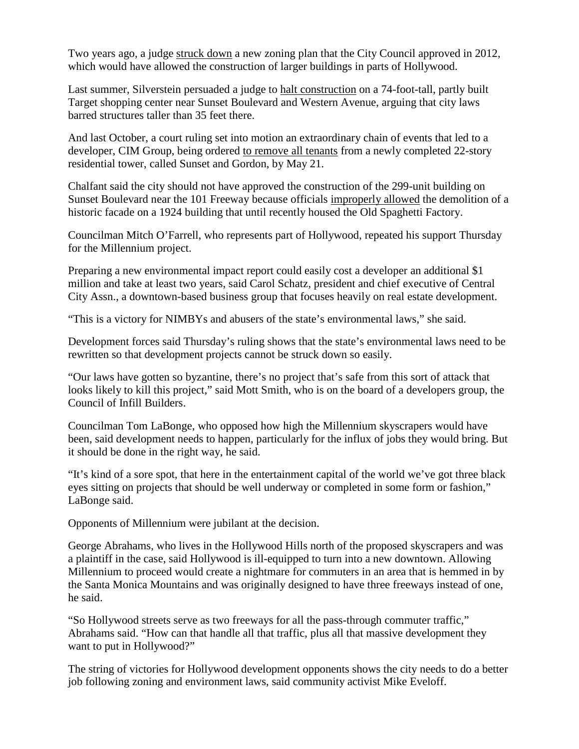Two years ago, a judge [struck down](http://www.latimes.com/local/lanow/la-me-ln-judge-hollywood-growth-plan-20131211-story.html) a new zoning plan that the City Council approved in 2012, which would have allowed the construction of larger buildings in parts of Hollywood.

Last summer, Silverstein persuaded a judge to [halt construction](http://www.latimes.com/local/cityhall/la-me-hollywood-target-20140821-story.html) on a 74-foot-tall, partly built Target shopping center near Sunset Boulevard and Western Avenue, arguing that city laws barred structures taller than 35 feet there.

And last October, a court ruling set into motion an extraordinary chain of events that led to a developer, CIM Group, being ordered [to remove all tenants](http://www.latimes.com/local/cityhall/la-me-0320-apartment-vacate-20150320-story.html) from a newly completed 22-story residential tower, called Sunset and Gordon, by May 21.

Chalfant said the city should not have approved the construction of the 299-unit building on Sunset Boulevard near the 101 Freeway because officials [improperly allowed](http://www.latimes.com/local/cityhall/la-me-hollywood-development-20141018-story.html%23page=1%23page=1) the demolition of a historic facade on a 1924 building that until recently housed the Old Spaghetti Factory.

Councilman Mitch O'Farrell, who represents part of Hollywood, repeated his support Thursday for the Millennium project.

Preparing a new environmental impact report could easily cost a developer an additional \$1 million and take at least two years, said Carol Schatz, president and chief executive of Central City Assn., a downtown-based business group that focuses heavily on real estate development.

"This is a victory for NIMBYs and abusers of the state's environmental laws," she said.

Development forces said Thursday's ruling shows that the state's environmental laws need to be rewritten so that development projects cannot be struck down so easily.

"Our laws have gotten so byzantine, there's no project that's safe from this sort of attack that looks likely to kill this project," said Mott Smith, who is on the board of a developers group, the Council of Infill Builders.

Councilman Tom LaBonge, who opposed how high the Millennium skyscrapers would have been, said development needs to happen, particularly for the influx of jobs they would bring. But it should be done in the right way, he said.

"It's kind of a sore spot, that here in the entertainment capital of the world we've got three black eyes sitting on projects that should be well underway or completed in some form or fashion," LaBonge said.

Opponents of Millennium were jubilant at the decision.

George Abrahams, who lives in the Hollywood Hills north of the proposed skyscrapers and was a plaintiff in the case, said Hollywood is ill-equipped to turn into a new downtown. Allowing Millennium to proceed would create a nightmare for commuters in an area that is hemmed in by the Santa Monica Mountains and was originally designed to have three freeways instead of one, he said.

"So Hollywood streets serve as two freeways for all the pass-through commuter traffic," Abrahams said. "How can that handle all that traffic, plus all that massive development they want to put in Hollywood?"

The string of victories for Hollywood development opponents shows the city needs to do a better job following zoning and environment laws, said community activist Mike Eveloff.